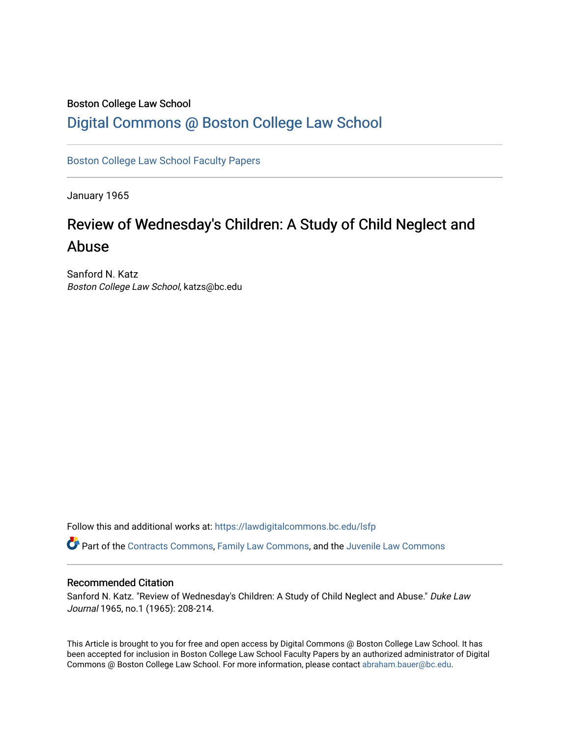#### Boston College Law School

## [Digital Commons @ Boston College Law School](https://lawdigitalcommons.bc.edu/)

[Boston College Law School Faculty Papers](https://lawdigitalcommons.bc.edu/lsfp) 

January 1965

# Review of Wednesday's Children: A Study of Child Neglect and Abuse

Sanford N. Katz Boston College Law School, katzs@bc.edu

Follow this and additional works at: [https://lawdigitalcommons.bc.edu/lsfp](https://lawdigitalcommons.bc.edu/lsfp?utm_source=lawdigitalcommons.bc.edu%2Flsfp%2F800&utm_medium=PDF&utm_campaign=PDFCoverPages) 

Part of the [Contracts Commons](http://network.bepress.com/hgg/discipline/591?utm_source=lawdigitalcommons.bc.edu%2Flsfp%2F800&utm_medium=PDF&utm_campaign=PDFCoverPages), [Family Law Commons](http://network.bepress.com/hgg/discipline/602?utm_source=lawdigitalcommons.bc.edu%2Flsfp%2F800&utm_medium=PDF&utm_campaign=PDFCoverPages), and the [Juvenile Law Commons](http://network.bepress.com/hgg/discipline/851?utm_source=lawdigitalcommons.bc.edu%2Flsfp%2F800&utm_medium=PDF&utm_campaign=PDFCoverPages)

### Recommended Citation

Sanford N. Katz. "Review of Wednesday's Children: A Study of Child Neglect and Abuse." Duke Law Journal 1965, no.1 (1965): 208-214.

This Article is brought to you for free and open access by Digital Commons @ Boston College Law School. It has been accepted for inclusion in Boston College Law School Faculty Papers by an authorized administrator of Digital Commons @ Boston College Law School. For more information, please contact [abraham.bauer@bc.edu.](mailto:abraham.bauer@bc.edu)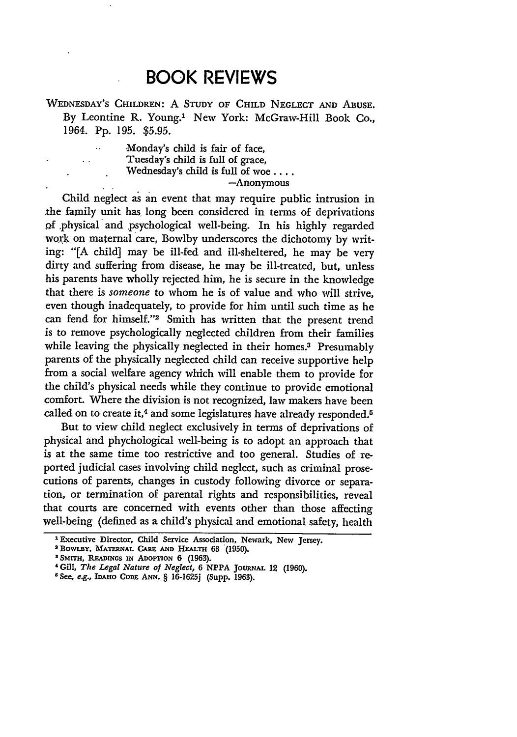## **BOOK REVIEWS**

**WEDNESDAY'S** CHILDREN: **A** STUDY OF CHILD **NEGLECT AND** ABUSE. By Leontine R. Young.' New York: McGraw-Hill Book Co., 1964. Pp. 195. \$5.95.

> Monday's child is fair of face, Tuesday's child is full of grace, Wednesday's child is full of woe .... -Anonymous

 $\ddot{\phantom{a}}$ 

Child neglect as an event that may require public intrusion in .the family unit has long been considered in terms of deprivations **.Qf** .physical and psychological well-being. In his highly regarded work **on** maternal care, Bowlby underscores the dichotomy **by** writing: "[A child] may be ill-fed and ill-sheltered, he may be very dirty and suffering from disease, he may be ill-treated, but, unless his parents have wholly rejected him, he is secure in the knowledge that there is *someone* to whom he is of value and who will strive, even though inadequately, to provide for him until such time as he can fend for himself."2 Smith has written that the present trend is to remove psychologically neglected children from their families while leaving the physically neglected in their homes.<sup>3</sup> Presumably parents of the physically neglected child can receive supportive help from a social welfare agency which will enable them to provide for the child's physical needs while they continue to provide emotional comfort. Where the division is not recognized, law makers have been called on to create it,<sup>4</sup> and some legislatures have already responded.<sup>5</sup>

But to view child neglect exclusively in terms of deprivations of physical and phychological well-being is to adopt an approach that is at the same time too restrictive and too general. Studies of reported judicial cases involving child neglect, such as criminal prosecutions of parents, changes in custody following divorce or separation, or termination of parental rights and responsibilities, reveal that courts are concerned with events other than those affecting well-being (defined as a child's physical and emotional safety, health

<sup>1</sup> Executive Director, Child **Service** Association, Newark, New Jersey.

<sup>2</sup>BowLBY, **MATERNAL CARE AND HEALTH 68 (1950).**

*a SMITH,* **READINGS IN** ADOPTION **6 (1963).**

**<sup>&#</sup>x27; Gill,** *The Legal Nature of Neglect,* 6 NPPA JouRNAL 12 **(1960).**

**<sup>5</sup>** See, e.g., IDAHO **CODE ANN.** § 16-1625j (Supp. **1963).**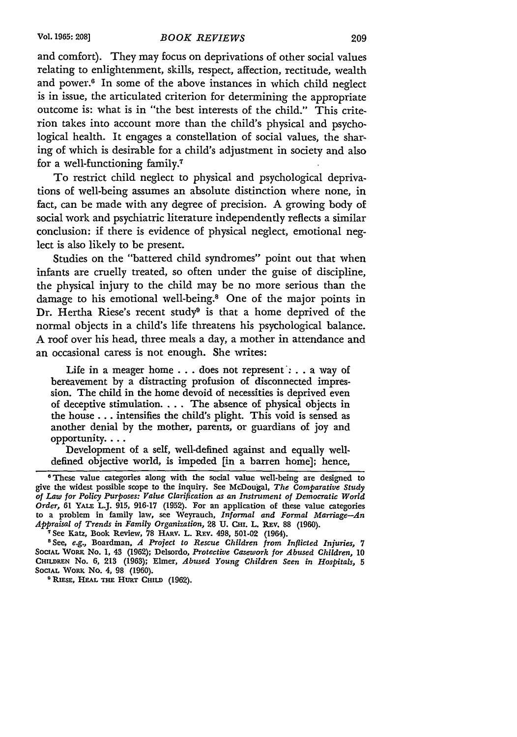and comfort). They may focus on deprivations of other social values relating to enlightenment, skills, respect, affection, rectitude, wealth and power.6 In some of the above instances in which child neglect is in issue, the articulated criterion for determining the appropriate outcome is: what is in "the best interests of the child." This criterion takes into account more than the child's physical and psychological health. It engages a constellation of social values, the sharing of which is desirable for a child's adjustment in society and also for a well-functioning family.7

To restrict child neglect to physical and psychological deprivations of well-being assumes an absolute distinction where none, in fact, can be made with any degree of precision. A growing body of social work and psychiatric literature independently reflects a similar conclusion: if there is evidence of physical neglect, emotional neglect is also likely to be present.

Studies on the "battered child syndromes" point out that when infants are cruelly treated, so often under the guise of discipline, the physical injury to the child may be no more serious than the damage to his emotional well-being.8 One of the major points in Dr. Hertha Riese's recent study<sup>9</sup> is that a home deprived of the normal objects in a child's life threatens his psychological balance. A roof over his head, three meals a day, a mother in attendance and an occasional caress is not enough. She writes:

Life in a meager home . . . does not represent': . . a way of bereavement by a distracting profusion of disconnected impression. The child in the home devoid of necessities is deprived even of deceptive stimulation **....** The absence of physical objects in the house... intensifies the child's plight. This void is sensed as another denial by the mother, parents, or guardians of joy and opportunity....

Development of a self, well-defined against and equally welldefined objective world, is impeded [in a barren home]; hence,

These value categories along with the social value well-being are designed to give the widest possible scope to the inquiry. See McDougal, *The Comparative Study of Law for Policy Purposes: Value Clarification as an Instrument of Democratic World Order,* 61 **YALE** L.J. 915, 916-17 (1952). For an application of these value categories to a problem in family law, see Weyrauch, *Informal and Formal Marriage-An Appraisal of Trends in Family Organization,* 28 U. CHI. L. REV. 88 (1960).<br><sup>7</sup> See Katz, Book Review, 78 HARV. L. REV. 498, 501-02 (1964).

<sup>&</sup>lt;sup>8</sup> See, e.g., Boardman, *A Project to Rescue Children from Inflicted Injuries, 7* SOCIAL WORK No. 1, 43 (1962); Delsordo, *Protective Casework for Abused Children*, 10 **CHILDREN** No. **6,** 213 (1963); Elmer, *Abused Young Children Seen in Hospitals, 5* **SOCIAL** WoR No. 4, 98 (1960). **<sup>0</sup> RIESE, HEAL THE HURT CHILD** (1962).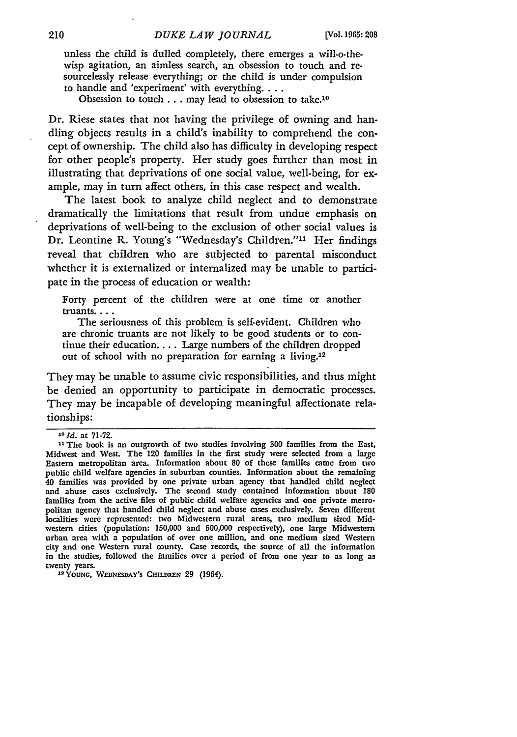unless the child is dulled completely, there emerges a will-o-thewisp agitation, an aimless search, an obsession to touch and resourcelessly release everything; or the child is under compulsion to handle and 'experiment' with everything....

Obsession to touch... may lead to obsession to take.10

Dr. Riese states that not having the privilege of owning and handling objects results in a child's inability to comprehend the concept of ownership. The child also has difficulty in developing respect for other people's property. Her study goes further than most in illustrating that deprivations of one social value, well-being, for example, may in turn affect others, in this case respect and wealth.

The latest book to analyze child neglect and to demonstrate dramatically the limitations that result from undue emphasis on deprivations of well-being to the exclusion of other social values is Dr. Leontine R. Young's "Wednesday's Children."<sup>11</sup> Her findings reveal that children who are subjected to parental misconduct whether it is externalized or internalized may be unable to participate in the process of education or wealth:

Forty percent of the children were at one time or another truants....

The seriousness of this problem is self-evident. Children who are chronic truants are not likely to be good students or to continue their education.... Large numbers of the children dropped out of school with no preparation for earning a living.<sup>12</sup>

They may be unable to assume civic responsibilities, and thus might be denied an opportunity to participate in democratic processes. They may be incapable of developing meaningful affectionate relationships:

**<sup>12</sup>YOUNG, WEDNESDAY'S CHILDREN 29** (1964).

**<sup>&#</sup>x27;ld.** at **71-72.**

**<sup>&</sup>quot;1** The book is an outgrowth of two studies involving **300** families from the East, Midwest and West. The 120 families in the first study were selected from a large Eastern metropolitan area. Information about 80 of these families came from two public child welfare agencies in suburban counties. Information about the remaining 40 families was provided **by** one private urban agency that handled child neglect and abuse cases exclusively. The second study contained information about **180** families from the active files of public child welfare agencies and one private metropolitan agency that handled child neglect and abuse cases exclusively. Seven different localities were represented: two Midwestern rural areas, two medium sized Midwestern cities (population: **150,000** and **500,000** respectively), one large Midwestern urban area with a population of over one million, and one medium sized Western city and one Western rural county. Case records, the source of all the information in the studies, followed the families over a period of from one year to as long as twenty years.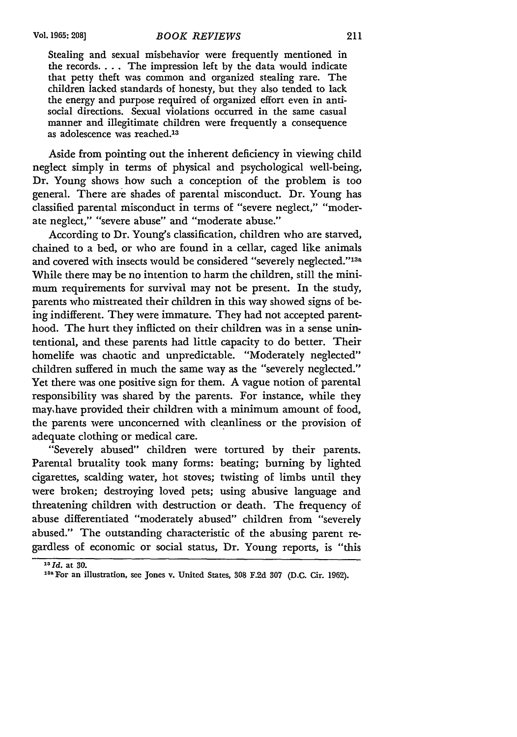Stealing and sexual misbehavior were frequently mentioned in the records.... The impression left by the data would indicate that petty theft was common and organized stealing rare. The children lacked standards of honesty, but they also tended to lack the energy and purpose required of organized effort even in antisocial directions. Sexual violations occurred in the same casual manner and illegitimate children were frequently a consequence as adolescence was reached.<sup>13</sup>

Aside from pointing out the inherent deficiency in viewing child neglect simply in terms of physical and psychological well-being, Dr. Young shows how such a conception of the problem is too general. There are shades of parental misconduct. Dr. Young has classified parental misconduct in terms of "severe neglect," "moderate neglect," "severe abuse" and "moderate abuse."

According to Dr. Young's classification, children who are starved, chained to a bed, or who are found in a cellar, caged like animals and covered with insects would be considered "severely neglected."<sup>13a</sup> While there may be no intention to harm the children, still the minimum requirements for survival may not be present. In the study, parents who mistreated their children in this way showed signs of being indifferent. They were immature. They had not accepted parenthood. The hurt they inflicted on their children was in a sense unintentional, and these parents had little capacity to do better. Their homelife was chaotic and unpredictable. "Moderately neglected" children suffered in much the same way as the "severely neglected." Yet there was one positive sign for them. A vague notion of parental responsibility was shared by the parents. For instance, while they mayhave provided their children with a minimum amount of food, the parents were unconcerned with cleanliness or the provision of adequate clothing or medical care.

"Severely abused" children were tortured by their parents. Parental brutality took many forms: beating; burning by lighted cigarettes, scalding water, hot stoves; twisting of limbs until they were broken; destroying loved pets; using abusive language and threatening children with destruction or death. The frequency of abuse differentiated "moderately abused" children from "severely abused." The outstanding characteristic of the abusing parent regardless of economic or social status, Dr. Young reports, is "this

**<sup>1</sup> 3 Id.** at **30.**

**<sup>2</sup>a** For an illustration, see Jones v. United States, **308** F.2d **307** (D.C. Cir. 1962).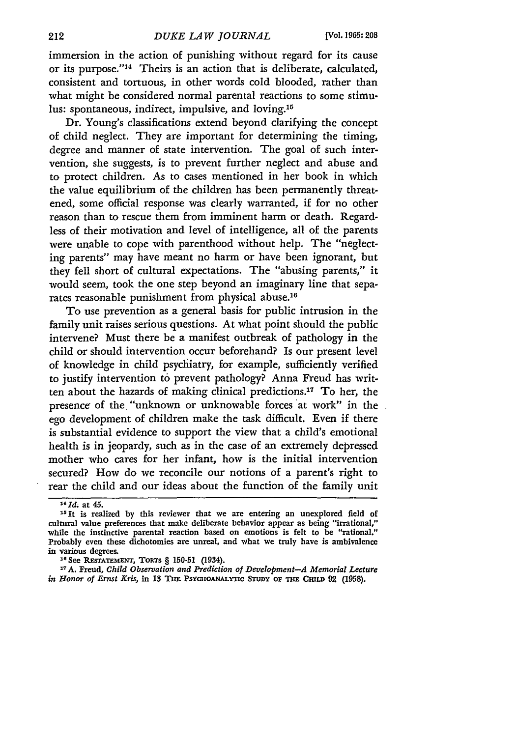immersion in the action of punishing without regard for its cause or its purpose."<sup>14</sup> Theirs is an action that is deliberate, calculated, consistent and tortuous, in other words cold blooded, rather than what might be considered normal parental reactions to some stimulus: spontaneous, indirect, impulsive, and loving.<sup>15</sup>

Dr. Young's classifications extend beyond clarifying the concept of child neglect. They are important for determining the timing, degree and manner of state intervention. The goal of such intervention, she suggests, is to prevent further neglect and abuse and to protect children. As to cases mentioned in her book in which the value equilibrium of the children has been permanently threatened, some official response was clearly warranted, if for no other reason than to rescue them from imminent harm or death. Regardless of their motivation and level of intelligence, all of the parents were unable to cope with parenthood without help. The "neglecting parents" may have meant no harm or have been ignorant, but they fell short of cultural expectations. The "abusing parents," it would seem, took the one step beyond an imaginary line that separates reasonable punishment from physical abuse.16

To use prevention as a general basis for public intrusion in the family unit raises serious questions. At what point should the public intervene? Must there be a manifest outbreak of pathology in the child or should intervention occur beforehand? Is our present level of knowledge in child psychiatry, for example, sufficiently verified to justify intervention to prevent pathology? Anna Freud has written about the hazards of making clinical predictions.<sup>17</sup> To her, the presence of the "unknown or unknowable forces at work" in the ego development of children make the task difficult. Even if there is substantial evidence to support the view that a child's emotional health is in jeopardy, such as in the case of an extremely depressed mother who cares for her infant, how is the initial intervention secured? How do we reconcile our notions of a parent's right to rear the child and our ideas about the function of the family unit

**1e** See **RESTATEMENT,** TORTS § 150-51 (1934).

**17A.** Freud, *Child Observation and Prediction of Development-A Memorial Lecture*  $\mathbf{i}$  **Honor of Ernst Kris, in 13 THE PSYCHOANALYTIC STUDY OF THE CHILD 92 (1958).** 

*<sup>&</sup>quot;Id;* at 45.

**<sup>15</sup>It** is realized **by** this reviewer that we are entering an unexplored **field** of cultural value preferences that make deliberate behavior appear as being "irrational," while the instinctive parental reaction based on emotions is felt to be "rational." Probably even these dichotomies are unreal, and what we truly have is ambivalence in various degrees.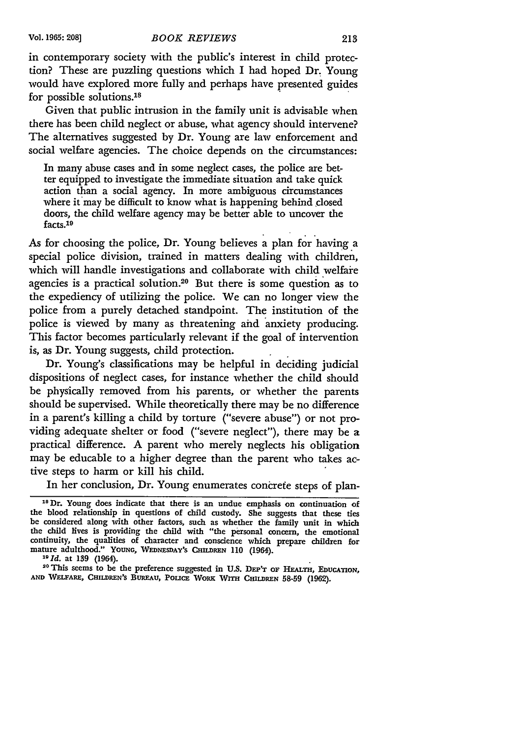in contemporary society with the public's interest in child protection? These are puzzling questions which I had hoped Dr. Young would have explored more fully and perhaps have presented guides for possible solutions.<sup>18</sup>

Given that public intrusion in the family unit is advisable when there has been child neglect or abuse, what agency should intervene? The alternatives suggested by Dr. Young are law enforcement and social welfare agencies. The choice depends on the circumstances:

In many abuse cases and in some neglect cases, the police are better equipped to investigate the immediate situation and take quick action than a social agency. In more ambiguous circumstances where it may be difficult to know what is happening behind closed doors, the child welfare agency may be better able to uncover the facts.<sup>19</sup>

As for choosing the police, Dr. Young believes a plan for having a special police division, trained in matters dealing with children, which will handle investigations and collaborate with child welfare agencies is a practical solution.<sup>20</sup> But there is some question as to the expediency of utilizing the police. We can no longer view the police from a purely detached standpoint. The institution of the police is viewed by many as threatening aid anxiety producing. This factor becomes particularly relevant if the goal of intervention is, as Dr. Young suggests, child protection.

Dr. Young's classifications may be helpful in deciding judicial dispositions of neglect cases, for instance whether the child should be physically removed from his parents, or whether the parents should be supervised. While theoretically there may be no difference in a parent's killing a child by torture ("severe abuse") or not providing adequate shelter or food ("severe neglect"), there may be a practical difference. A parent who merely neglects his obligation may be educable to a higher degree than the parent who takes active steps to harm or kill his child.

In her conclusion, Dr. Young enumerates concrete steps of plan-

**<sup>18</sup>** Dr. Young does indicate that there is an undue emphasis on continuation of **the blood relationship** in **questions of child custody. She suggests that these ties be considered along with other factors, such as whether the family unit in which the child lives is providing the** child **with** "the **personal concern, the emotional continuity, the qualities of character and conscience** which **prepare children for** mature adulthood." YOUNG, WEDNESDAY's CHILDREN 110 (1964).<br><sup>19</sup>*Id.* at 139 (1964).<br><sup>20</sup>*This seems to be the preference* 

<sup>&</sup>lt;sup>20</sup> This seems to be the preference suggested in U.S. DEP'T OF HEALTH, EDUCATION, AND WELFARE, CHILDREN'S BUREAU, POLICE WORK WITH CHILDREN 58-59 (1962).